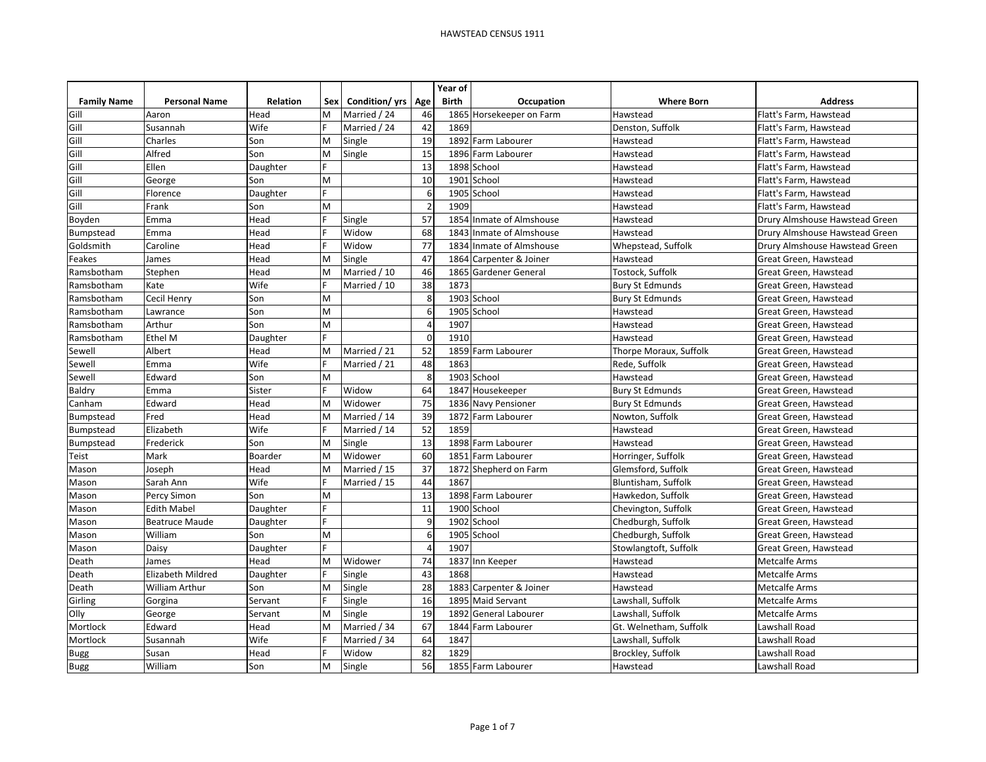|                    |                       |                 |     |               |                | Year of      |                          |                        |                                |
|--------------------|-----------------------|-----------------|-----|---------------|----------------|--------------|--------------------------|------------------------|--------------------------------|
| <b>Family Name</b> | <b>Personal Name</b>  | <b>Relation</b> | Sex | Condition/yrs | Age            | <b>Birth</b> | Occupation               | <b>Where Born</b>      | <b>Address</b>                 |
| Gill               | Aaron                 | Head            | M   | Married / 24  | 46             |              | 1865 Horsekeeper on Farm | Hawstead               | Flatt's Farm, Hawstead         |
| Gill               | Susannah              | Wife            |     | Married / 24  | 42             | 1869         |                          | Denston, Suffolk       | Flatt's Farm, Hawstead         |
| Gill               | <b>Charles</b>        | Son             | M   | Single        | 19             |              | 1892 Farm Labourer       | Hawstead               | Flatt's Farm, Hawstead         |
| Gill               | Alfred                | Son             | M   | Single        | 15             |              | 1896 Farm Labourer       | Hawstead               | Flatt's Farm, Hawstead         |
| Gill               | Ellen                 | Daughter        |     |               | 13             |              | 1898 School              | Hawstead               | Flatt's Farm, Hawstead         |
| Gill               | George                | Son             | M   |               | 10             |              | 1901 School              | Hawstead               | Flatt's Farm, Hawstead         |
| Gill               | Florence              | Daughter        | F   |               | 6              |              | 1905 School              | Hawstead               | Flatt's Farm, Hawstead         |
| Gill               | Frank                 | Son             | M   |               | I.             | 1909         |                          | Hawstead               | Flatt's Farm, Hawstead         |
| Boyden             | Emma                  | Head            |     | Single        | 57             | 1854         | Inmate of Almshouse      | Hawstead               | Drury Almshouse Hawstead Green |
| Bumpstead          | Emma                  | Head            |     | Widow         | 68             |              | 1843 Inmate of Almshouse | Hawstead               | Drury Almshouse Hawstead Green |
| Goldsmith          | Caroline              | Head            |     | Widow         | 77             |              | 1834 Inmate of Almshouse | Whepstead, Suffolk     | Drury Almshouse Hawstead Green |
| Feakes             | James                 | Head            | M   | Single        | 47             |              | 1864 Carpenter & Joiner  | Hawstead               | Great Green, Hawstead          |
| Ramsbotham         | Stephen               | Head            | M   | Married / 10  | 46             |              | 1865 Gardener General    | Tostock, Suffolk       | Great Green, Hawstead          |
| Ramsbotham         | Kate                  | Wife            |     | Married / 10  | 38             | 1873         |                          | <b>Bury St Edmunds</b> | Great Green, Hawstead          |
| Ramsbotham         | <b>Cecil Henry</b>    | Son             | M   |               | -g             |              | 1903 School              | <b>Bury St Edmunds</b> | Great Green, Hawstead          |
| Ramsbotham         | Lawrance              | Son             | M   |               | -6             |              | 1905 School              | Hawstead               | Great Green, Hawstead          |
| Ramsbotham         | Arthur                | Son             | M   |               | $\sqrt{2}$     | 1907         |                          | Hawstead               | Great Green, Hawstead          |
| Ramsbotham         | <b>Ethel M</b>        | Daughter        | E   |               | $\Omega$       | 1910         |                          | Hawstead               | Great Green, Hawstead          |
| Sewell             | Albert                | Head            | M   | Married / 21  | 52             |              | 1859 Farm Labourer       | Thorpe Moraux, Suffolk | Great Green, Hawstead          |
| Sewell             | Emma                  | Wife            |     | Married / 21  | 48             | 1863         |                          | Rede, Suffolk          | Great Green, Hawstead          |
| Sewell             | Edward                | Son             | M   |               | 8              |              | 1903 School              | Hawstead               | Great Green, Hawstead          |
| Baldry             | Emma                  | Sister          |     | Widow         | 64             |              | 1847 Housekeeper         | <b>Bury St Edmunds</b> | Great Green, Hawstead          |
| Canham             | Edward                | Head            | M   | Widower       | 75             |              | 1836 Navy Pensioner      | <b>Bury St Edmunds</b> | Great Green, Hawstead          |
| Bumpstead          | Fred                  | Head            | M   | Married / 14  | 39             | 1872         | Farm Labourer            | Nowton, Suffolk        | Great Green, Hawstead          |
| Bumpstead          | Elizabeth             | Wife            |     | Married / 14  | 52             | 1859         |                          | Hawstead               | Great Green, Hawstead          |
| Bumpstead          | Frederick             | Son             | M   | Single        | 13             |              | 1898 Farm Labourer       | Hawstead               | Great Green, Hawstead          |
| Teist              | Mark                  | Boarder         | M   | Widower       | 60             |              | 1851 Farm Labourer       | Horringer, Suffolk     | Great Green, Hawstead          |
| Mason              | Joseph                | Head            | M   | Married / 15  | 37             |              | 1872 Shepherd on Farm    | Glemsford, Suffolk     | Great Green, Hawstead          |
| Mason              | Sarah Ann             | Wife            |     | Married / 15  | 44             | 1867         |                          | Bluntisham, Suffolk    | Great Green, Hawstead          |
| Mason              | Percy Simon           | Son             | M   |               | 13             |              | 1898 Farm Labourer       | Hawkedon, Suffolk      | Great Green, Hawstead          |
| Mason              | <b>Edith Mabel</b>    | Daughter        | E   |               | 11             |              | 1900 School              | Chevington, Suffolk    | Great Green, Hawstead          |
| Mason              | Beatruce Maude        | Daughter        | E   |               | c              | 1902         | School                   | Chedburgh, Suffolk     | Great Green, Hawstead          |
| Mason              | William               | Son             | M   |               | -6             |              | 1905 School              | Chedburgh, Suffolk     | Great Green, Hawstead          |
| Mason              | Daisy                 | Daughter        |     |               | $\overline{4}$ | 1907         |                          | Stowlangtoft, Suffolk  | Great Green, Hawstead          |
| Death              | James                 | Head            | M   | Widower       | 74             |              | 1837 Inn Keeper          | Hawstead               | <b>Metcalfe Arms</b>           |
| Death              | Elizabeth Mildred     | Daughter        |     | Single        | 43             | 1868         |                          | Hawstead               | Metcalfe Arms                  |
| Death              | <b>William Arthur</b> | Son             | M   | Single        | 28             |              | 1883 Carpenter & Joiner  | Hawstead               | <b>Metcalfe Arms</b>           |
| Girling            | Gorgina               | Servant         |     | Single        | 16             |              | 1895 Maid Servant        | Lawshall, Suffolk      | <b>Metcalfe Arms</b>           |
| Olly               | George                | Servant         | M   | Single        | 19             | 1892         | General Labourer         | Lawshall, Suffolk      | <b>Metcalfe Arms</b>           |
| Mortlock           | Edward                | Head            | M   | Married / 34  | 67             |              | 1844 Farm Labourer       | Gt. Welnetham, Suffolk | Lawshall Road                  |
| Mortlock           | Susannah              | Wife            | F   | Married / 34  | 64             | 1847         |                          | Lawshall, Suffolk      | Lawshall Road                  |
| <b>Bugg</b>        | Susan                 | Head            |     | Widow         | 82             | 1829         |                          | Brockley, Suffolk      | Lawshall Road                  |
| <b>Bugg</b>        | William               | Son             | M   | Single        | 56             |              | 1855 Farm Labourer       | Hawstead               | Lawshall Road                  |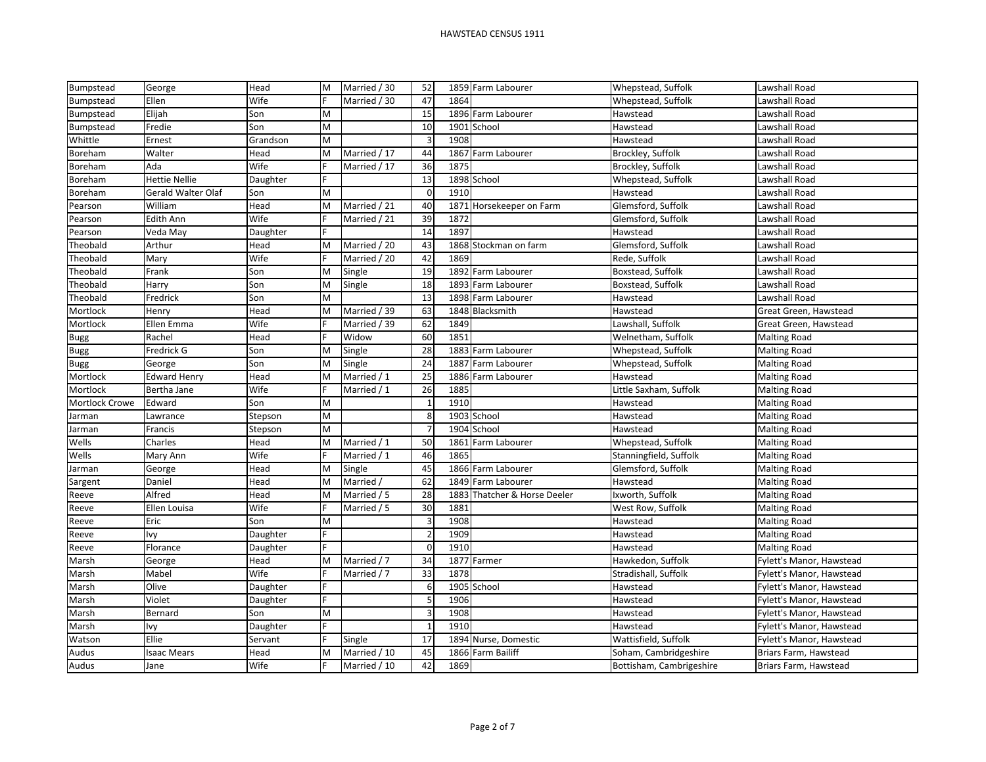| Bumpstead      | George             | Head     | M | Married / 30 | 52             |      | 1859 Farm Labourer       | Whepstead, Suffolk       | Lawshall Road            |
|----------------|--------------------|----------|---|--------------|----------------|------|--------------------------|--------------------------|--------------------------|
| Bumpstead      | Ellen              | Wife     |   | Married / 30 | 47             | 1864 |                          | Whepstead, Suffolk       | Lawshall Road            |
| Bumpstead      | Elijah             | Son      | M |              | 15             |      | 1896 Farm Labourer       | Hawstead                 | Lawshall Road            |
| Bumpstead      | Fredie             | Son      | M |              | 10             |      | 1901 School              | Hawstead                 | Lawshall Road            |
| Whittle        | Ernest             | Grandson | M |              | $\overline{a}$ | 1908 |                          | Hawstead                 | Lawshall Road            |
| Boreham        | Walter             | Head     | M | Married / 17 | 44             |      | 1867 Farm Labourer       | Brockley, Suffolk        | Lawshall Road            |
| Boreham        | Ada                | Wife     |   | Married / 17 | 36             | 1875 |                          | Brockley, Suffolk        | Lawshall Road            |
| Boreham        | Hettie Nellie      | Daughter |   |              | 13             |      | 1898 School              | Whepstead, Suffolk       | Lawshall Road            |
| Boreham        | Gerald Walter Olaf | Son      | M |              | $\mathbf 0$    | 1910 |                          | Hawstead                 | Lawshall Road            |
| Pearson        | William            | Head     | M | Married / 21 | 40             |      | 1871 Horsekeeper on Farm | Glemsford, Suffolk       | Lawshall Road            |
| Pearson        | Edith Ann          | Wife     |   | Married / 21 | 39             | 1872 |                          | Glemsford, Suffolk       | Lawshall Road            |
| Pearson        | Veda May           | Daughter |   |              | 14             | 1897 |                          | Hawstead                 | Lawshall Road            |
| Theobald       | Arthur             | Head     | M | Married / 20 | 43             |      | 1868 Stockman on farm    | Glemsford, Suffolk       | Lawshall Road            |
| Theobald       | Mary               | Wife     |   | Married / 20 | 42             | 1869 |                          | Rede, Suffolk            | Lawshall Road            |
| Theobald       | Frank              | Son      | M | Single       | 19             |      | 1892 Farm Labourer       | Boxstead, Suffolk        | Lawshall Road            |
| Theobald       | Harry              | Son      | M | Single       | 18             |      | 1893 Farm Labourer       | Boxstead, Suffolk        | Lawshall Road            |
| Theobald       | Fredrick           | Son      | M |              | 13             |      | 1898 Farm Labourer       | Hawstead                 | Lawshall Road            |
| Mortlock       | Henry              | Head     | M | Married / 39 | 63             |      | 1848 Blacksmith          | Hawstead                 | Great Green, Hawstead    |
| Mortlock       | Ellen Emma         | Wife     |   | Married / 39 | 62             | 1849 |                          | Lawshall, Suffolk        | Great Green, Hawstead    |
| <b>Bugg</b>    | Rachel             | Head     |   | Widow        | 60             | 1851 |                          | Welnetham, Suffolk       | <b>Malting Road</b>      |
| Bugg           | Fredrick G         | Son      | M | Single       | 28             |      | 1883 Farm Labourer       | Whepstead, Suffolk       | <b>Malting Road</b>      |
| <b>Bugg</b>    | George             | Son      | M | Single       | 24             |      | 1887 Farm Labourer       | Whepstead, Suffolk       | <b>Malting Road</b>      |
| Mortlock       | Edward Henry       | Head     | M | Married / 1  | 25             | 1886 | Farm Labourer            | Hawstead                 | <b>Malting Road</b>      |
| Mortlock       | Bertha Jane        | Wife     |   | Married / 1  | 26             | 1885 |                          | Little Saxham, Suffolk   | <b>Malting Road</b>      |
| Mortlock Crowe | Edward             | Son      | M |              | $\overline{1}$ | 1910 |                          | Hawstead                 | <b>Malting Road</b>      |
| Jarman         | Lawrance           | Stepson  | M |              |                |      | 1903 School              | Hawstead                 | <b>Malting Road</b>      |
| Jarman         | Francis            | Stepson  | M |              | 7              |      | 1904 School              | Hawstead                 | <b>Malting Road</b>      |
| Wells          | Charles            | Head     | M | Married / 1  | 50             |      | 1861 Farm Labourer       | Whepstead, Suffolk       | <b>Malting Road</b>      |
| Wells          | Mary Ann           | Wife     |   | Married / 1  | 46             | 1865 |                          | Stanningfield, Suffolk   | <b>Malting Road</b>      |
| Jarman         | George             | Head     | M | Single       | 45             |      | 1866 Farm Labourer       | Glemsford, Suffolk       | <b>Malting Road</b>      |
| Sargent        | Daniel             | Head     | M | Married /    | 62             |      | 1849 Farm Labourer       | Hawstead                 | <b>Malting Road</b>      |
| Reeve          | Alfred             | Head     | M | Married / 5  | 28             | 1883 | Thatcher & Horse Deeler  | Ixworth, Suffolk         | <b>Malting Road</b>      |
| Reeve          | Ellen Louisa       | Wife     |   | Married / 5  | 30             | 1881 |                          | West Row, Suffolk        | <b>Malting Road</b>      |
| Reeve          | Eric               | Son      | M |              | $\overline{a}$ | 1908 |                          | Hawstead                 | <b>Malting Road</b>      |
| Reeve          | lvy                | Daughter |   |              | 2              | 1909 |                          | Hawstead                 | <b>Malting Road</b>      |
| Reeve          | Florance           | Daughter |   |              | $\Omega$       | 1910 |                          | Hawstead                 | <b>Malting Road</b>      |
| Marsh          | George             | Head     | M | Married / 7  | 34             |      | 1877 Farmer              | Hawkedon, Suffolk        | Fylett's Manor, Hawstead |
| Marsh          | Mabel              | Wife     |   | Married / 7  | 33             | 1878 |                          | Stradishall, Suffolk     | Fylett's Manor, Hawstead |
| Marsh          | Olive              | Daughter |   |              | -6             |      | 1905 School              | Hawstead                 | Fylett's Manor, Hawstead |
| Marsh          | Violet             | Daughter |   |              | p              | 1906 |                          | Hawstead                 | Fylett's Manor, Hawstead |
| Marsh          | Bernard            | Son      | M |              | Е              | 1908 |                          | Hawstead                 | Fylett's Manor, Hawstead |
| Marsh          | lvy                | Daughter |   |              | $\overline{1}$ | 1910 |                          | Hawstead                 | Fylett's Manor, Hawstead |
| Watson         | <b>Ellie</b>       | Servant  |   | Single       | 17             |      | 1894 Nurse, Domestic     | Wattisfield, Suffolk     | Fylett's Manor, Hawstead |
| Audus          | <b>Isaac Mears</b> | Head     | M | Married / 10 | 45             |      | 1866 Farm Bailiff        | Soham, Cambridgeshire    | Briars Farm, Hawstead    |
| Audus          | Jane               | Wife     |   | Married / 10 | 42             | 1869 |                          | Bottisham, Cambrigeshire | Briars Farm, Hawstead    |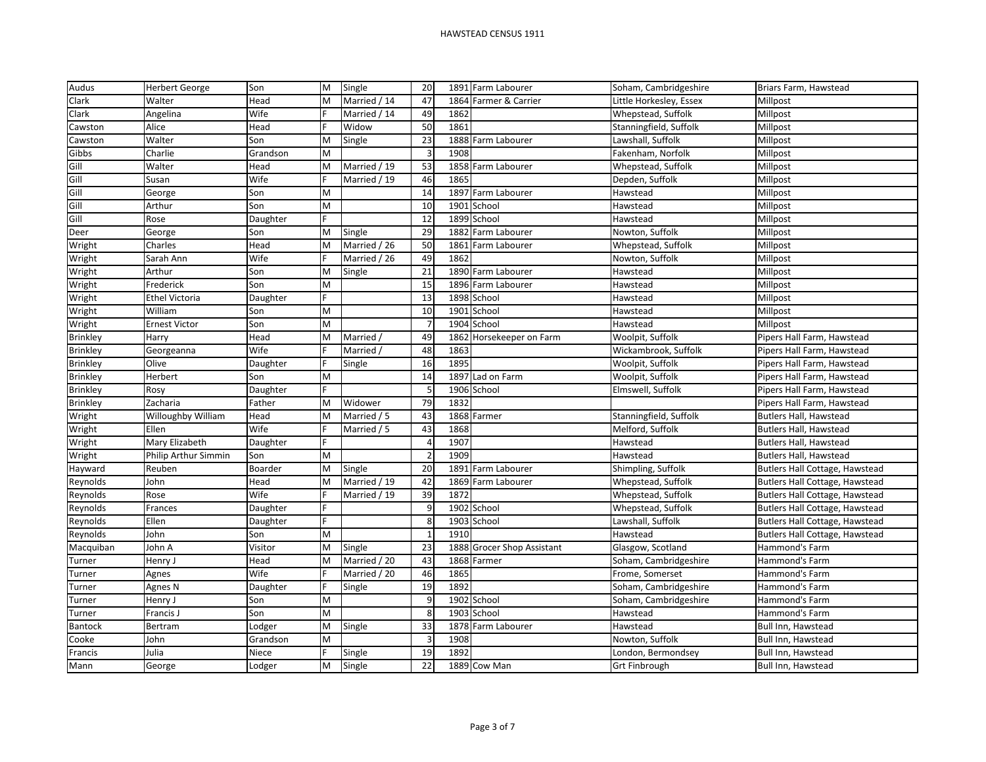| Audus           | <b>Herbert George</b> | Son      | M | Single       | 20             |      | 1891 Farm Labourer           | Soham, Cambridgeshire   | Briars Farm, Hawstead                 |
|-----------------|-----------------------|----------|---|--------------|----------------|------|------------------------------|-------------------------|---------------------------------------|
| Clark           | Walter                | Head     | M | Married / 14 | 47             |      | 1864 Farmer & Carrier        | Little Horkesley, Essex | Millpost                              |
| Clark           | Angelina              | Wife     |   | Married / 14 | 49             | 1862 |                              | Whepstead, Suffolk      | Millpost                              |
| Cawston         | Alice                 | Head     |   | Widow        | 50             | 1861 |                              | Stanningfield, Suffolk  | Millpost                              |
| Cawston         | Walter                | Son      | M | Single       | 23             | 1888 | Farm Labourer                | Lawshall, Suffolk       | Millpost                              |
| Gibbs           | Charlie               | Grandson | M |              | $\overline{3}$ | 1908 |                              | Fakenham, Norfolk       | Millpost                              |
| Gill            | Walter                | Head     | M | Married / 19 | 53             |      | 1858 Farm Labourer           | Whepstead, Suffolk      | Millpost                              |
| Gill            | Susan                 | Wife     |   | Married / 19 | 46             | 1865 |                              | Depden, Suffolk         | Millpost                              |
| Gill            | George                | Son      | M |              | 14             |      | 1897 Farm Labourer           | Hawstead                | Millpost                              |
| Gill            | Arthur                | Son      | M |              | 10             |      | 1901 School                  | Hawstead                | Millpost                              |
| Gill            | Rose                  | Daughter |   |              | 12             |      | 1899 School                  | Hawstead                | Millpost                              |
| Deer            | George                | Son      | M | Single       | 29             | 1882 | Farm Labourer                | Nowton, Suffolk         | Millpost                              |
| Wright          | Charles               | Head     | M | Married / 26 | 50             | 1861 | Farm Labourer                | Whepstead, Suffolk      | Millpost                              |
| Wright          | Sarah Ann             | Wife     |   | Married / 26 | 49             | 1862 |                              | Nowton, Suffolk         | Millpost                              |
| Wright          | Arthur                | Son      | M | Single       | 21             |      | 1890 Farm Labourer           | Hawstead                | Millpost                              |
| Wright          | Frederick             | Son      | M |              | 15             |      | 1896 Farm Labourer           | Hawstead                | Millpost                              |
| Wright          | Ethel Victoria        | Daughter |   |              | 13             |      | 1898 School                  | Hawstead                | Millpost                              |
| Wright          | William               | Son      | M |              | 10             |      | 1901 School                  | Hawstead                | Millpost                              |
| Wright          | Ernest Victor         | Son      | M |              | $\overline{7}$ |      | 1904 School                  | Hawstead                | Millpost                              |
| <b>Brinkley</b> | Harry                 | Head     | M | Married /    | 49             |      | 1862 Horsekeeper on Farm     | Woolpit, Suffolk        | Pipers Hall Farm, Hawstead            |
| <b>Brinkley</b> | Georgeanna            | Wife     |   | Married /    | 48             | 1863 |                              | Wickambrook, Suffolk    | Pipers Hall Farm, Hawstead            |
| <b>Brinkley</b> | Olive                 | Daughter |   | Single       | 16             | 1895 |                              | Woolpit, Suffolk        | Pipers Hall Farm, Hawstead            |
| <b>Brinkley</b> | Herbert               | Son      | M |              | 14             |      | 1897 Lad on Farm             | Woolpit, Suffolk        | Pipers Hall Farm, Hawstead            |
| <b>Brinkley</b> | Rosy                  | Daughter |   |              | <b>D</b>       |      | 1906 School                  | Elmswell, Suffolk       | Pipers Hall Farm, Hawstead            |
| <b>Brinkley</b> | Zacharia              | Father   | M | Widower      | 79             | 1832 |                              |                         | Pipers Hall Farm, Hawstead            |
| Wright          | Willoughby William    | Head     | M | Married / 5  | 43             |      | 1868 Farmer                  | Stanningfield, Suffolk  | Butlers Hall, Hawstead                |
| Wright          | Ellen                 | Wife     |   | Married / 5  | 43             | 1868 |                              | Melford, Suffolk        | <b>Butlers Hall, Hawstead</b>         |
| Wright          | Mary Elizabeth        | Daughter |   |              |                | 1907 |                              | Hawstead                | Butlers Hall, Hawstead                |
| Wright          | Philip Arthur Simmin  | Son      | M |              | $\overline{2}$ | 1909 |                              | Hawstead                | Butlers Hall, Hawstead                |
| Hayward         | Reuben                | Boarder  | M | Single       | 20             |      | 1891 Farm Labourer           | Shimpling, Suffolk      | Butlers Hall Cottage, Hawstead        |
| Reynolds        | John                  | Head     | M | Married / 19 | 42             |      | 1869 Farm Labourer           | Whepstead, Suffolk      | Butlers Hall Cottage, Hawstead        |
| Reynolds        | Rose                  | Wife     |   | Married / 19 | 39             | 1872 |                              | Whepstead, Suffolk      | Butlers Hall Cottage, Hawstead        |
| Reynolds        | Frances               | Daughter | F |              | 9              |      | 1902 School                  | Whepstead, Suffolk      | Butlers Hall Cottage, Hawstead        |
| Reynolds        | Ellen                 | Daughter | F |              | -8             |      | 1903 School                  | Lawshall, Suffolk       | <b>Butlers Hall Cottage, Hawstead</b> |
| Reynolds        | John                  | Son      | M |              | $\overline{1}$ | 1910 |                              | Hawstead                | Butlers Hall Cottage, Hawstead        |
| Macquiban       | John A                | Visitor  | M | Single       | 23             | 1888 | <b>Grocer Shop Assistant</b> | Glasgow, Scotland       | Hammond's Farm                        |
| Turner          | Henry J               | Head     | M | Married / 20 | 43             |      | 1868 Farmer                  | Soham, Cambridgeshire   | Hammond's Farm                        |
| Turner          | Agnes                 | Wife     |   | Married / 20 | 46             | 1865 |                              | Frome, Somerset         | Hammond's Farm                        |
| Turner          | Agnes N               | Daughter |   | Single       | 19             | 1892 |                              | Soham, Cambridgeshire   | Hammond's Farm                        |
| Turner          | Henry J               | Son      | M |              | $\mathbf{q}$   |      | 1902 School                  | Soham, Cambridgeshire   | Hammond's Farm                        |
| Turner          | Francis J             | Son      | M |              | -g             |      | 1903 School                  | Hawstead                | Hammond's Farm                        |
| <b>Bantock</b>  | Bertram               | Lodger   | M | Single       | 33             |      | 1878 Farm Labourer           | Hawstead                | Bull Inn, Hawstead                    |
| Cooke           | John                  | Grandson | M |              | $\overline{3}$ | 1908 |                              | Nowton, Suffolk         | Bull Inn, Hawstead                    |
| Francis         | Julia                 | Niece    |   | Single       | 19             | 1892 |                              | London, Bermondsey      | Bull Inn, Hawstead                    |
| Mann            | George                | Lodger   | M | Single       | 22             |      | 1889 Cow Man                 | <b>Grt Finbrough</b>    | Bull Inn, Hawstead                    |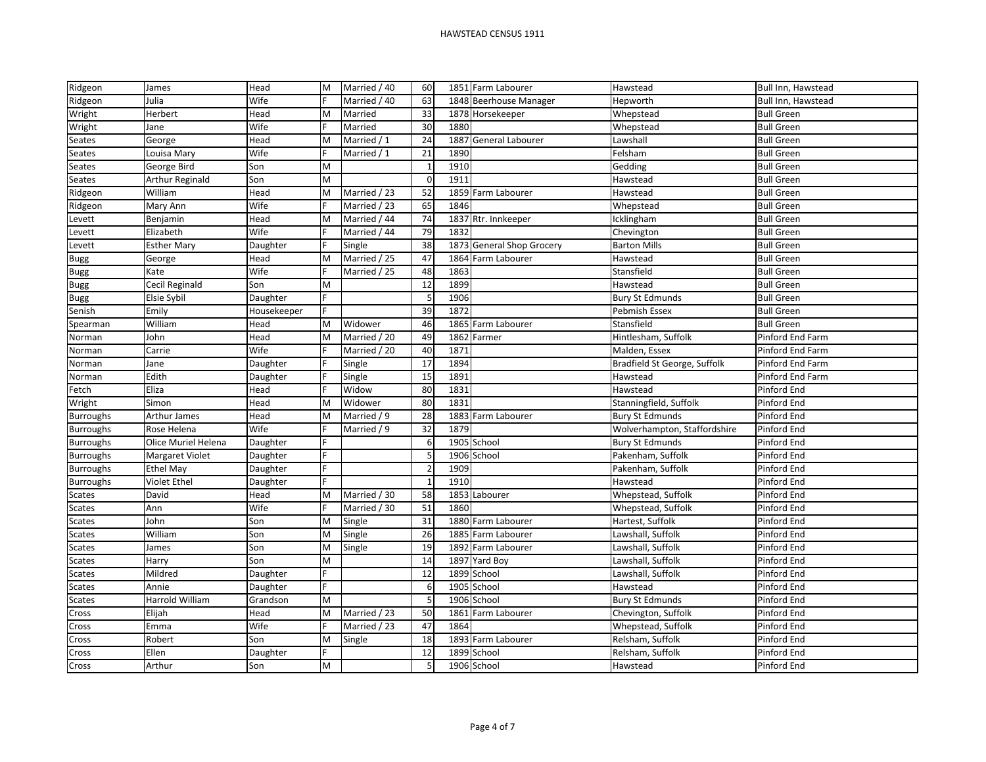| Ridgeon          | James                  | Head        | M | Married / 40 | 60                      |      | 1851 Farm Labourer     | Hawstead                     | Bull Inn, Hawstead |
|------------------|------------------------|-------------|---|--------------|-------------------------|------|------------------------|------------------------------|--------------------|
| Ridgeon          | Julia                  | Wife        |   | Married / 40 | 63                      |      | 1848 Beerhouse Manager | Hepworth                     | Bull Inn, Hawstead |
| Wright           | Herbert                | Head        | M | Married      | 33                      |      | 1878 Horsekeeper       | Whepstead                    | <b>Bull Green</b>  |
| Wright           | Jane                   | Wife        |   | Married      | 30                      | 1880 |                        | Whepstead                    | <b>Bull Green</b>  |
| Seates           | George                 | Head        | M | Married / 1  | 24                      | 1887 | General Labourer       | Lawshall                     | <b>Bull Green</b>  |
| Seates           | Louisa Mary            | Wife        |   | Married / 1  | 21                      | 1890 |                        | Felsham                      | <b>Bull Green</b>  |
| Seates           | George Bird            | Son         | M |              | $\overline{\mathbf{1}}$ | 1910 |                        | Gedding                      | <b>Bull Green</b>  |
| Seates           | <b>Arthur Reginald</b> | Son         | M |              | $\Omega$                | 1911 |                        | Hawstead                     | <b>Bull Green</b>  |
| Ridgeon          | William                | Head        | M | Married / 23 | 52                      | 1859 | Farm Labourer          | Hawstead                     | <b>Bull Green</b>  |
| Ridgeon          | Mary Ann               | Wife        |   | Married / 23 | 65                      | 1846 |                        | Whepstead                    | <b>Bull Green</b>  |
| Levett           | Benjamin               | Head        | M | Married / 44 | 74                      | 1837 | Rtr. Innkeeper         | Icklingham                   | <b>Bull Green</b>  |
| Levett           | Elizabeth              | Wife        |   | Married / 44 | 79                      | 1832 |                        | Chevington                   | <b>Bull Green</b>  |
| Levett           | <b>Esther Mary</b>     | Daughter    |   | Single       | 38                      | 1873 | General Shop Grocery   | <b>Barton Mills</b>          | <b>Bull Green</b>  |
| <b>Bugg</b>      | George                 | Head        | M | Married / 25 | 47                      | 1864 | Farm Labourer          | Hawstead                     | <b>Bull Green</b>  |
| Bugg             | Kate                   | Wife        |   | Married / 25 | 48                      | 1863 |                        | Stansfield                   | <b>Bull Green</b>  |
| <b>Bugg</b>      | Cecil Reginald         | Son         | M |              | 12                      | 1899 |                        | Hawstead                     | <b>Bull Green</b>  |
| <b>Bugg</b>      | Elsie Sybil            | Daughter    | E |              | -5                      | 1906 |                        | <b>Bury St Edmunds</b>       | <b>Bull Green</b>  |
| Senish           | Emily                  | Housekeeper |   |              | 39                      | 1872 |                        | Pebmish Essex                | <b>Bull Green</b>  |
| Spearman         | William                | Head        | M | Widower      | 46                      | 1865 | Farm Labourer          | Stansfield                   | <b>Bull Green</b>  |
| Norman           | John                   | Head        | M | Married / 20 | 49                      | 1862 | Farmer                 | Hintlesham, Suffolk          | Pinford End Farm   |
| Norman           | Carrie                 | Wife        |   | Married / 20 | 40                      | 1871 |                        | Malden, Essex                | Pinford End Farm   |
| Norman           | Jane                   | Daughter    |   | Single       | 17                      | 1894 |                        | Bradfield St George, Suffolk | Pinford End Farm   |
| Norman           | Edith                  | Daughter    |   | Single       | 15                      | 1891 |                        | Hawstead                     | Pinford End Farm   |
| Fetch            | Eliza                  | Head        |   | Widow        | 80                      | 1831 |                        | Hawstead                     | Pinford End        |
| Wright           | Simon                  | Head        | M | Widower      | 80                      | 1831 |                        | Stanningfield, Suffolk       | Pinford End        |
| <b>Burroughs</b> | Arthur James           | Head        | M | Married / 9  | 28                      | 1883 | Farm Labourer          | <b>Bury St Edmunds</b>       | Pinford End        |
| <b>Burroughs</b> | Rose Helena            | Wife        |   | Married / 9  | 32                      | 1879 |                        | Wolverhampton, Staffordshire | Pinford End        |
| <b>Burroughs</b> | Olice Muriel Helena    | Daughter    |   |              | $\epsilon$              | 1905 | School                 | <b>Bury St Edmunds</b>       | Pinford End        |
| <b>Burroughs</b> | Margaret Violet        | Daughter    |   |              | 5                       |      | 1906 School            | Pakenham, Suffolk            | Pinford End        |
| <b>Burroughs</b> | <b>Ethel May</b>       | Daughter    | Е |              | $\overline{2}$          | 1909 |                        | Pakenham, Suffolk            | Pinford End        |
| <b>Burroughs</b> | <b>Violet Ethel</b>    | Daughter    | E |              | $\overline{1}$          | 1910 |                        | Hawstead                     | Pinford End        |
| Scates           | David                  | Head        | M | Married / 30 | 58                      |      | 1853 Labourer          | Whepstead, Suffolk           | Pinford End        |
| <b>Scates</b>    | Ann                    | Wife        |   | Married / 30 | 51                      | 1860 |                        | Whepstead, Suffolk           | Pinford End        |
| <b>Scates</b>    | John                   | Son         | M | Single       | 31                      |      | 1880 Farm Labourer     | Hartest, Suffolk             | Pinford End        |
| Scates           | William                | Son         | M | Single       | 26                      |      | 1885 Farm Labourer     | Lawshall, Suffolk            | Pinford End        |
| <b>Scates</b>    | James                  | Son         | M | Single       | 19                      | 1892 | Farm Labourer          | Lawshall, Suffolk            | Pinford End        |
| <b>Scates</b>    | Harry                  | Son         | M |              | 14                      | 1897 | Yard Boy               | Lawshall, Suffolk            | Pinford End        |
| <b>Scates</b>    | Mildred                | Daughter    |   |              | 12                      |      | 1899 School            | Lawshall, Suffolk            | Pinford End        |
| <b>Scates</b>    | Annie                  | Daughter    |   |              | 6                       | 1905 | School                 | Hawstead                     | Pinford End        |
| Scates           | Harrold William        | Grandson    | M |              | 5                       |      | 1906 School            | <b>Bury St Edmunds</b>       | Pinford End        |
| Cross            | Elijah                 | Head        | M | Married / 23 | 50                      | 1861 | Farm Labourer          | Chevington, Suffolk          | Pinford End        |
| Cross            | Emma                   | Wife        |   | Married / 23 | 47                      | 1864 |                        | Whepstead, Suffolk           | Pinford End        |
| Cross            | Robert                 | Son         | M | Single       | 18                      |      | 1893 Farm Labourer     | Relsham, Suffolk             | Pinford End        |
| Cross            | Ellen                  | Daughter    |   |              | 12                      |      | 1899 School            | Relsham, Suffolk             | Pinford End        |
| Cross            | Arthur                 | Son         | M |              |                         |      | 1906 School            | Hawstead                     | Pinford End        |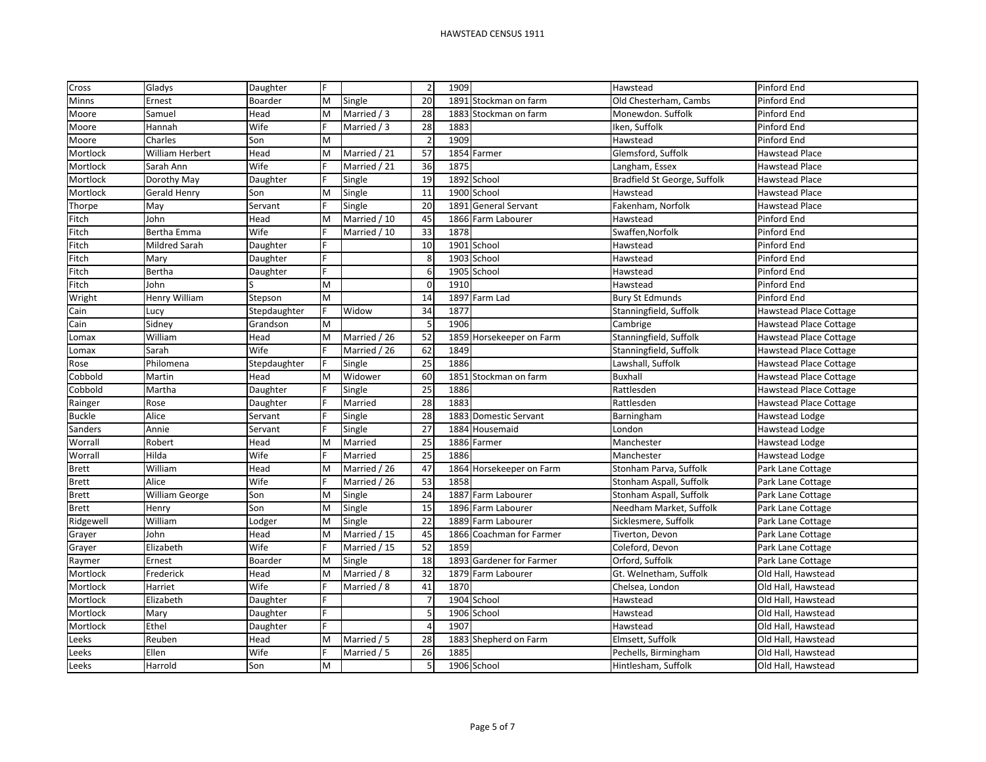| Cross         | Gladys                 | Daughter       | F |              | $\overline{2}$ | 1909                           | Hawstead                     | Pinford End                   |
|---------------|------------------------|----------------|---|--------------|----------------|--------------------------------|------------------------------|-------------------------------|
| Minns         | Ernest                 | <b>Boarder</b> | M | Single       | 20             | 1891<br>Stockman on farm       | Old Chesterham, Cambs        | Pinford End                   |
| Moore         | Samuel                 | Head           | M | Married / 3  | 28             | 1883<br>Stockman on farm       | Monewdon. Suffolk            | Pinford End                   |
| Moore         | Hannah                 | Wife           |   | Married / 3  | 28             | 1883                           | Iken, Suffolk                | Pinford End                   |
| Moore         | Charles                | Son            | M |              | $\overline{2}$ | 1909                           | Hawstead                     | Pinford End                   |
| Mortlock      | <b>William Herbert</b> | Head           | M | Married / 21 | 57             | 1854 Farmer                    | Glemsford, Suffolk           | <b>Hawstead Place</b>         |
| Mortlock      | Sarah Ann              | Wife           |   | Married / 21 | 36             | 1875                           | Langham, Essex               | <b>Hawstead Place</b>         |
| Mortlock      | Dorothy May            | Daughter       |   | Single       | 19             | 1892<br>School                 | Bradfield St George, Suffolk | <b>Hawstead Place</b>         |
| Mortlock      | <b>Gerald Henry</b>    | Son            | M | Single       | 11             | 1900 School                    | Hawstead                     | <b>Hawstead Place</b>         |
| Thorpe        | May                    | Servant        |   | Single       | 20             | 1891<br><b>General Servant</b> | Fakenham, Norfolk            | <b>Hawstead Place</b>         |
| Fitch         | John                   | Head           | M | Married / 10 | 45             | 1866<br>Farm Labourer          | Hawstead                     | Pinford End                   |
| Fitch         | Bertha Emma            | Wife           |   | Married / 10 | 33             | 1878                           | Swaffen, Norfolk             | Pinford End                   |
| Fitch         | Mildred Sarah          | Daughter       | E |              | 10             | 1901 School                    | Hawstead                     | Pinford End                   |
| Fitch         | Mary                   | Daughter       |   |              | ۶,             | 1903 School                    | Hawstead                     | Pinford End                   |
| Fitch         | Bertha                 | Daughter       |   |              | 6              | 1905 School                    | Hawstead                     | Pinford End                   |
| Fitch         | John                   |                | M |              | $\Omega$       | 1910                           | Hawstead                     | Pinford End                   |
| Wright        | Henry William          | Stepson        | M |              | 14             | 1897<br>Farm Lad               | <b>Bury St Edmunds</b>       | Pinford End                   |
| Cain          | Lucy                   | Stepdaughter   |   | Widow        | 34             | 1877                           | Stanningfield, Suffolk       | <b>Hawstead Place Cottage</b> |
| Cain          | Sidney                 | Grandson       | M |              | 5              | 1906                           | Cambrige                     | <b>Hawstead Place Cottage</b> |
| Lomax         | William                | Head           | M | Married / 26 | 52             | 1859 Horsekeeper on Farm       | Stanningfield, Suffolk       | <b>Hawstead Place Cottage</b> |
| Lomax         | Sarah                  | Wife           |   | Married / 26 | 62             | 1849                           | Stanningfield, Suffolk       | Hawstead Place Cottage        |
| Rose          | Philomena              | Stepdaughter   |   | Single       | 25             | 1886                           | Lawshall, Suffolk            | <b>Hawstead Place Cottage</b> |
| Cobbold       | Martin                 | Head           | M | Widower      | 60             | 1851 Stockman on farm          | <b>Buxhall</b>               | <b>Hawstead Place Cottage</b> |
| Cobbold       | Martha                 | Daughter       |   | Single       | 25             | 1886                           | Rattlesden                   | <b>Hawstead Place Cottage</b> |
| Rainger       | Rose                   | Daughter       |   | Married      | 28             | 1883                           | Rattlesden                   | <b>Hawstead Place Cottage</b> |
| <b>Buckle</b> | Alice                  | Servant        |   | Single       | 28             | 1883 Domestic Servant          | Barningham                   | Hawstead Lodge                |
| Sanders       | Annie                  | Servant        |   | Single       | 27             | 1884 Housemaid                 | London                       | <b>Hawstead Lodge</b>         |
| Worrall       | Robert                 | Head           | M | Married      | 25             | 1886 Farmer                    | Manchester                   | Hawstead Lodge                |
| Worrall       | Hilda                  | Wife           |   | Married      | 25             | 1886                           | Manchester                   | Hawstead Lodge                |
| <b>Brett</b>  | William                | Head           | M | Married / 26 | 47             | 1864<br>Horsekeeper on Farm    | Stonham Parva, Suffolk       | Park Lane Cottage             |
| <b>Brett</b>  | Alice                  | Wife           |   | Married / 26 | 53             | 1858                           | Stonham Aspall, Suffolk      | Park Lane Cottage             |
| <b>Brett</b>  | William George         | Son            | M | Single       | 24             | Farm Labourer<br>1887          | Stonham Aspall, Suffolk      | Park Lane Cottage             |
| <b>Brett</b>  | Henry                  | Son            | M | Single       | 15             | 1896 Farm Labourer             | Needham Market, Suffolk      | Park Lane Cottage             |
| Ridgewell     | William                | Lodger         | M | Single       | 22             | 1889 Farm Labourer             | Sicklesmere, Suffolk         | Park Lane Cottage             |
| Grayer        | John                   | Head           | M | Married / 15 | 45             | 1866 Coachman for Farmer       | Tiverton, Devon              | Park Lane Cottage             |
| Grayer        | Elizabeth              | Wife           |   | Married / 15 | 52             | 1859                           | Coleford, Devon              | Park Lane Cottage             |
| Raymer        | Ernest                 | Boarder        | M | Single       | 18             | 1893 Gardener for Farmer       | Orford, Suffolk              | Park Lane Cottage             |
| Mortlock      | Frederick              | Head           | M | Married / 8  | 32             | 1879 Farm Labourer             | Gt. Welnetham, Suffolk       | Old Hall, Hawstead            |
| Mortlock      | Harriet                | Wife           |   | Married / 8  | 41             | 1870                           | Chelsea, London              | Old Hall, Hawstead            |
| Mortlock      | Elizabeth              | Daughter       |   |              | $\overline{1}$ | 1904 School                    | Hawstead                     | Old Hall, Hawstead            |
| Mortlock      | Mary                   | Daughter       |   |              | $\overline{5}$ | 1906 School                    | Hawstead                     | Old Hall, Hawstead            |
| Mortlock      | Ethel                  | Daughter       |   |              | $\sqrt{2}$     | 1907                           | Hawstead                     | Old Hall, Hawstead            |
| Leeks         | Reuben                 | Head           | M | Married / 5  | 28             | 1883 Shepherd on Farm          | Elmsett, Suffolk             | Old Hall, Hawstead            |
| Leeks         | Ellen                  | Wife           |   | Married / 5  | 26             | 1885                           | Pechells, Birmingham         | Old Hall, Hawstead            |
| Leeks         | Harrold                | Son            | M |              | 5              | 1906 School                    | Hintlesham, Suffolk          | Old Hall, Hawstead            |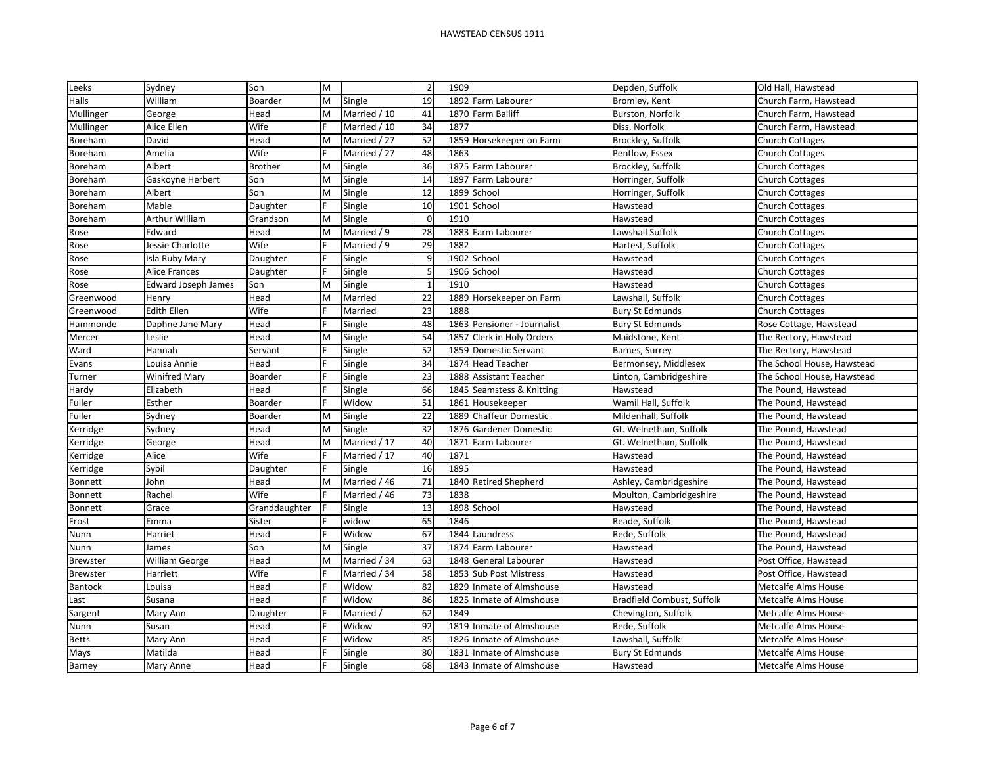| Leeks           | Sydney                     | Son            | M |              | $\overline{2}$          | 1909 |                             | Depden, Suffolk            | Old Hall, Hawstead         |
|-----------------|----------------------------|----------------|---|--------------|-------------------------|------|-----------------------------|----------------------------|----------------------------|
| Halls           | William                    | Boarder        | M | Single       | 19                      | 1892 | Farm Labourer               | Bromley, Kent              | Church Farm, Hawstead      |
| Mullinger       | George                     | Head           | M | Married / 10 | 41                      |      | 1870 Farm Bailiff           | Burston, Norfolk           | Church Farm, Hawstead      |
| Mullinger       | Alice Ellen                | Wife           |   | Married / 10 | 34                      | 1877 |                             | Diss, Norfolk              | Church Farm, Hawstead      |
| Boreham         | David                      | Head           | M | Married / 27 | 52                      |      | 1859 Horsekeeper on Farm    | Brockley, Suffolk          | <b>Church Cottages</b>     |
| Boreham         | Amelia                     | Wife           |   | Married / 27 | 48                      | 1863 |                             | Pentlow, Essex             | <b>Church Cottages</b>     |
| Boreham         | Albert                     | <b>Brother</b> | M | Single       | 36                      | 1875 | Farm Labourer               | Brockley, Suffolk          | <b>Church Cottages</b>     |
| Boreham         | Gaskoyne Herbert           | Son            | M | Single       | 14                      | 1897 | Farm Labourer               | Horringer, Suffolk         | <b>Church Cottages</b>     |
| Boreham         | Albert                     | Son            | M | Single       | 12                      |      | 1899 School                 | Horringer, Suffolk         | <b>Church Cottages</b>     |
| Boreham         | Mable                      | Daughter       |   | Single       | 10                      | 1901 | School                      | Hawstead                   | <b>Church Cottages</b>     |
| Boreham         | Arthur William             | Grandson       | M | Single       | $\mathcal{C}$           | 1910 |                             | Hawstead                   | <b>Church Cottages</b>     |
| Rose            | Edward                     | Head           | M | Married / 9  | 28                      | 1883 | Farm Labourer               | Lawshall Suffolk           | <b>Church Cottages</b>     |
| Rose            | Jessie Charlotte           | Wife           |   | Married / 9  | 29                      | 1882 |                             | Hartest, Suffolk           | <b>Church Cottages</b>     |
| Rose            | Isla Ruby Mary             | Daughter       |   | Single       | $\mathbf{c}$            | 1902 | School                      | Hawstead                   | <b>Church Cottages</b>     |
| Rose            | <b>Alice Frances</b>       | Daughter       |   | Single       | 5                       |      | 1906 School                 | Hawstead                   | <b>Church Cottages</b>     |
| Rose            | <b>Edward Joseph James</b> | Son            | M | Single       | $\overline{\mathbf{1}}$ | 1910 |                             | Hawstead                   | <b>Church Cottages</b>     |
| Greenwood       | Henry                      | Head           | M | Married      | 22                      |      | 1889 Horsekeeper on Farm    | Lawshall, Suffolk          | <b>Church Cottages</b>     |
| Greenwood       | <b>Edith Ellen</b>         | Wife           |   | Married      | 23                      | 1888 |                             | <b>Bury St Edmunds</b>     | <b>Church Cottages</b>     |
| Hammonde        | Daphne Jane Mary           | Head           |   | Single       | 48                      |      | 1863 Pensioner - Journalist | <b>Bury St Edmunds</b>     | Rose Cottage, Hawstead     |
| Mercer          | Leslie                     | Head           | M | Single       | 54                      |      | 1857 Clerk in Holy Orders   | Maidstone, Kent            | The Rectory, Hawstead      |
| Ward            | Hannah                     | Servant        |   | Single       | 52                      |      | 1859 Domestic Servant       | Barnes, Surrey             | The Rectory, Hawstead      |
| Evans           | Louisa Annie               | Head           |   | Single       | 34                      |      | 1874 Head Teacher           | Bermonsey, Middlesex       | The School House, Hawstead |
| Turner          | <b>Winifred Mary</b>       | Boarder        |   | Single       | 23                      | 1888 | <b>Assistant Teacher</b>    | Linton, Cambridgeshire     | The School House, Hawstead |
| Hardy           | Elizabeth                  | Head           |   | Single       | 66                      |      | 1845 Seamstess & Knitting   | Hawstead                   | The Pound, Hawstead        |
| Fuller          | Esther                     | Boarder        |   | Widow        | 51                      |      | 1861 Housekeeper            | Wamil Hall, Suffolk        | The Pound, Hawstead        |
| Fuller          | Sydney                     | Boarder        | M | Single       | 22                      |      | 1889 Chaffeur Domestic      | Mildenhall, Suffolk        | The Pound, Hawstead        |
| Kerridge        | Sydney                     | Head           | M | Single       | 32                      |      | 1876 Gardener Domestic      | Gt. Welnetham, Suffolk     | The Pound, Hawstead        |
| Kerridge        | George                     | Head           | M | Married / 17 | 40                      | 1871 | Farm Labourer               | Gt. Welnetham, Suffolk     | The Pound, Hawstead        |
| Kerridge        | Alice                      | Wife           |   | Married / 17 | 40                      | 1871 |                             | Hawstead                   | The Pound, Hawstead        |
| Kerridge        | Sybil                      | Daughter       |   | Single       | 16                      | 1895 |                             | Hawstead                   | The Pound, Hawstead        |
| Bonnett         | John                       | Head           | M | Married / 46 | 71                      | 1840 | <b>Retired Shepherd</b>     | Ashley, Cambridgeshire     | The Pound, Hawstead        |
| Bonnett         | Rachel                     | Wife           |   | Married / 46 | 73                      | 1838 |                             | Moulton, Cambridgeshire    | The Pound, Hawstead        |
| Bonnett         | Grace                      | Granddaughter  |   | Single       | 13                      |      | 1898 School                 | Hawstead                   | The Pound, Hawstead        |
| Frost           | Emma                       | Sister         |   | widow        | 65                      | 1846 |                             | Reade, Suffolk             | The Pound, Hawstead        |
| Nunn            | Harriet                    | Head           |   | Widow        | 67                      |      | 1844 Laundress              | Rede, Suffolk              | The Pound, Hawstead        |
| Nunn            | James                      | Son            |   | Single       | 37                      |      | 1874 Farm Labourer          | Hawstead                   | The Pound, Hawstead        |
| <b>Brewster</b> | <b>William George</b>      | Head           | M | Married / 34 | 63                      |      | 1848 General Labourer       | Hawstead                   | Post Office, Hawstead      |
| <b>Brewster</b> | Harriett                   | Wife           |   | Married / 34 | 58                      |      | 1853 Sub Post Mistress      | Hawstead                   | Post Office, Hawstead      |
| Bantock         | Louisa                     | Head           |   | Widow        | 82                      | 1829 | Inmate of Almshouse         | Hawstead                   | Metcalfe Alms House        |
| Last            | Susana                     | Head           |   | Widow        | 86                      | 1825 | Inmate of Almshouse         | Bradfield Combust, Suffolk | Metcalfe Alms House        |
| Sargent         | Mary Ann                   | Daughter       |   | Married,     | 62                      | 1849 |                             | Chevington, Suffolk        | <b>Metcalfe Alms House</b> |
| Nunn            | Susan                      | Head           |   | Widow        | 92                      |      | 1819 Inmate of Almshouse    | Rede, Suffolk              | <b>Metcalfe Alms House</b> |
| <b>Betts</b>    | Mary Ann                   | Head           |   | Widow        | 85                      | 1826 | Inmate of Almshouse         | Lawshall, Suffolk          | Metcalfe Alms House        |
| Mays            | Matilda                    | Head           |   | Single       | 80                      |      | 1831 Inmate of Almshouse    | <b>Bury St Edmunds</b>     | <b>Metcalfe Alms House</b> |
| Barney          | Mary Anne                  | Head           |   | Single       | 68                      |      | 1843 Inmate of Almshouse    | Hawstead                   | <b>Metcalfe Alms House</b> |